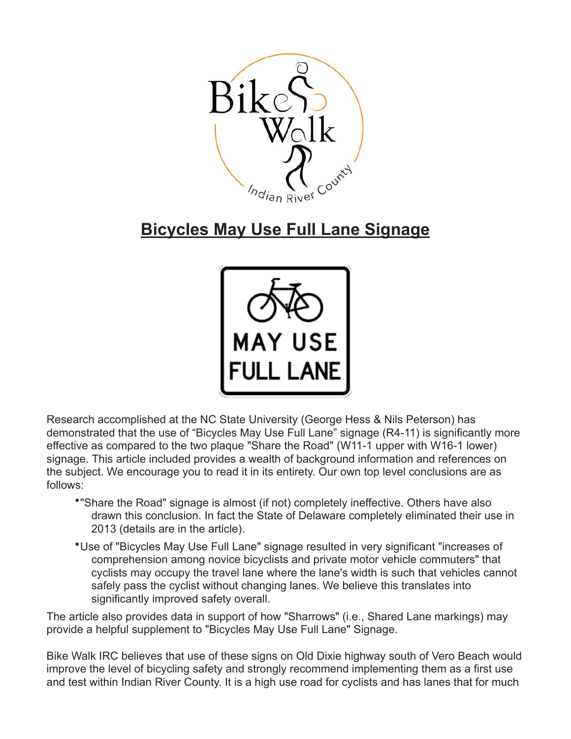

## **Bicycles May Use Full Lane Signage**



Research accomplished at the NC State University (George Hess & Nils Peterson) has demonstrated that the use of "Bicycles May Use Full Lane" signage (R4-11) is significantly more effective as compared to the two plaque "Share the Road" (W11-1 upper with W16-1 lower) signage. This article included provides a wealth of background information and references on the subject. We encourage you to read it in its entirety. Our own top level conclusions are as follows:

- •"Share the Road" signage is almost (if not) completely ineffective. Others have also drawn this conclusion. In fact the State of Delaware completely eliminated their use in 2013 (details are in the article).
- •Use of "Bicycles May Use Full Lane" signage resulted in very significant "increases of comprehension among novice bicyclists and private motor vehicle commuters" that cyclists may occupy the travel lane where the lane's width is such that vehicles cannot safely pass the cyclist without changing lanes. We believe this translates into significantly improved safety overall.

The article also provides data in support of how "Sharrows" (i.e., Shared Lane markings) may provide a helpful supplement to "Bicycles May Use Full Lane" Signage.

Bike Walk IRC believes that use of these signs on Old Dixie highway south of Vero Beach would improve the level of bicycling safety and strongly recommend implementing them as a first use and test within Indian River County. It is a high use road for cyclists and has lanes that for much